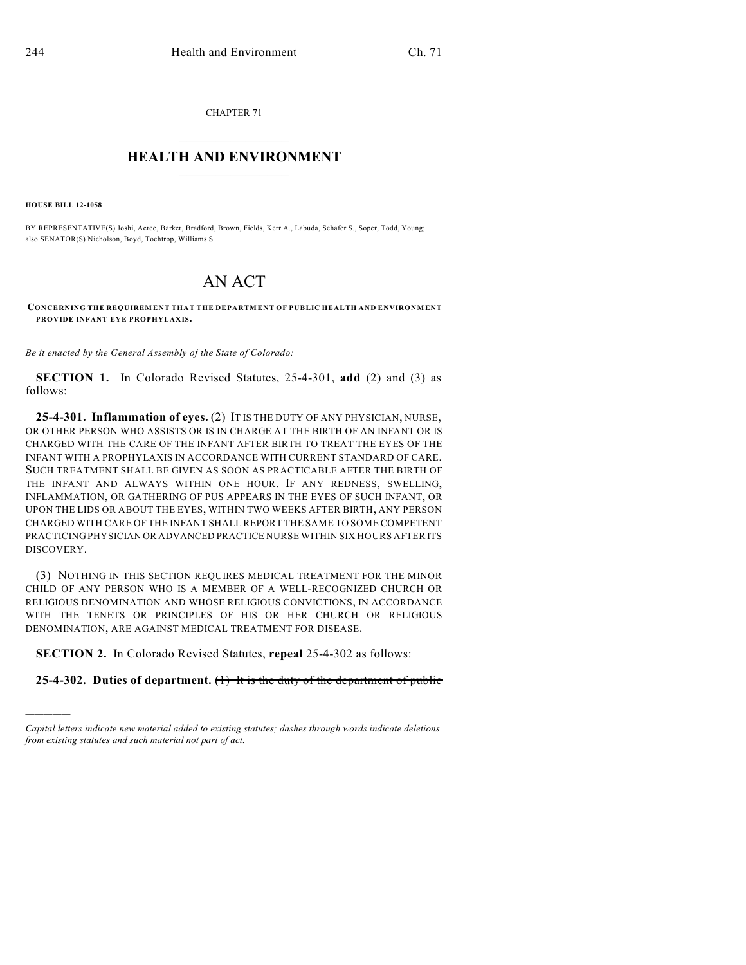CHAPTER 71  $\mathcal{L}_\text{max}$  . The set of the set of the set of the set of the set of the set of the set of the set of the set of the set of the set of the set of the set of the set of the set of the set of the set of the set of the set

## **HEALTH AND ENVIRONMENT**  $\_$

**HOUSE BILL 12-1058**

)))))

BY REPRESENTATIVE(S) Joshi, Acree, Barker, Bradford, Brown, Fields, Kerr A., Labuda, Schafer S., Soper, Todd, Young; also SENATOR(S) Nicholson, Boyd, Tochtrop, Williams S.

## AN ACT

**CONCERNING THE REQUIREMENT THAT THE DEPARTMENT OF PUBLIC HEALTH AND ENVIRONMENT PROVIDE INFANT EYE PROPHYLAXIS.**

*Be it enacted by the General Assembly of the State of Colorado:*

**SECTION 1.** In Colorado Revised Statutes, 25-4-301, **add** (2) and (3) as follows:

**25-4-301. Inflammation of eyes.** (2) IT IS THE DUTY OF ANY PHYSICIAN, NURSE, OR OTHER PERSON WHO ASSISTS OR IS IN CHARGE AT THE BIRTH OF AN INFANT OR IS CHARGED WITH THE CARE OF THE INFANT AFTER BIRTH TO TREAT THE EYES OF THE INFANT WITH A PROPHYLAXIS IN ACCORDANCE WITH CURRENT STANDARD OF CARE. SUCH TREATMENT SHALL BE GIVEN AS SOON AS PRACTICABLE AFTER THE BIRTH OF THE INFANT AND ALWAYS WITHIN ONE HOUR. IF ANY REDNESS, SWELLING, INFLAMMATION, OR GATHERING OF PUS APPEARS IN THE EYES OF SUCH INFANT, OR UPON THE LIDS OR ABOUT THE EYES, WITHIN TWO WEEKS AFTER BIRTH, ANY PERSON CHARGED WITH CARE OF THE INFANT SHALL REPORT THE SAME TO SOME COMPETENT PRACTICING PHYSICIAN OR ADVANCED PRACTICE NURSE WITHIN SIX HOURS AFTER ITS DISCOVERY.

(3) NOTHING IN THIS SECTION REQUIRES MEDICAL TREATMENT FOR THE MINOR CHILD OF ANY PERSON WHO IS A MEMBER OF A WELL-RECOGNIZED CHURCH OR RELIGIOUS DENOMINATION AND WHOSE RELIGIOUS CONVICTIONS, IN ACCORDANCE WITH THE TENETS OR PRINCIPLES OF HIS OR HER CHURCH OR RELIGIOUS DENOMINATION, ARE AGAINST MEDICAL TREATMENT FOR DISEASE.

**SECTION 2.** In Colorado Revised Statutes, **repeal** 25-4-302 as follows:

**25-4-302. Duties of department.** (1) It is the duty of the department of public

*Capital letters indicate new material added to existing statutes; dashes through words indicate deletions from existing statutes and such material not part of act.*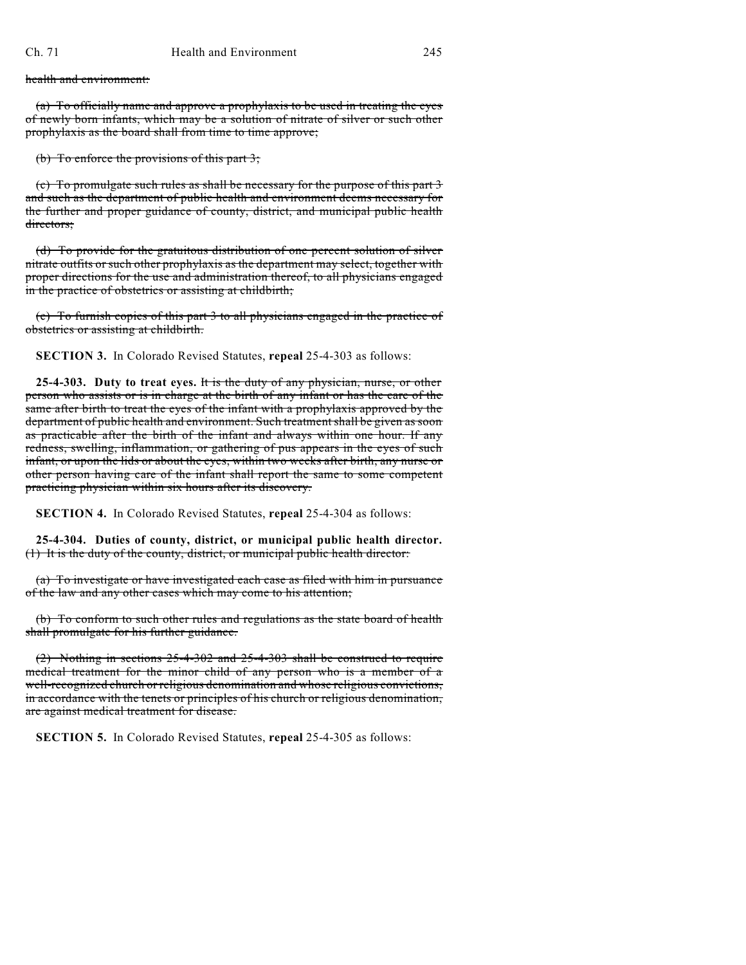health and environment:

(a) To officially name and approve a prophylaxis to be used in treating the eyes of newly born infants, which may be a solution of nitrate of silver or such other prophylaxis as the board shall from time to time approve;

(b) To enforce the provisions of this part 3;

(c) To promulgate such rules as shall be necessary for the purpose of this part 3 and such as the department of public health and environment deems necessary for the further and proper guidance of county, district, and municipal public health directors:

(d) To provide for the gratuitous distribution of one percent solution of silver nitrate outfits or such other prophylaxis as the department may select, together with proper directions for the use and administration thereof, to all physicians engaged in the practice of obstetrics or assisting at childbirth;

(e) To furnish copies of this part 3 to all physicians engaged in the practice of obstetrics or assisting at childbirth.

**SECTION 3.** In Colorado Revised Statutes, **repeal** 25-4-303 as follows:

**25-4-303. Duty to treat eyes.** It is the duty of any physician, nurse, or other person who assists or is in charge at the birth of any infant or has the care of the same after birth to treat the eyes of the infant with a prophylaxis approved by the department of public health and environment. Such treatment shall be given as soon as practicable after the birth of the infant and always within one hour. If any redness, swelling, inflammation, or gathering of pus appears in the eyes of such infant, or upon the lids or about the eyes, within two weeks after birth, any nurse or other person having care of the infant shall report the same to some competent practicing physician within six hours after its discovery.

**SECTION 4.** In Colorado Revised Statutes, **repeal** 25-4-304 as follows:

**25-4-304. Duties of county, district, or municipal public health director.** (1) It is the duty of the county, district, or municipal public health director:

(a) To investigate or have investigated each case as filed with him in pursuance of the law and any other cases which may come to his attention;

(b) To conform to such other rules and regulations as the state board of health shall promulgate for his further guidance.

(2) Nothing in sections 25-4-302 and 25-4-303 shall be construed to require medical treatment for the minor child of any person who is a member of a well-recognized church or religious denomination and whose religious convictions, in accordance with the tenets or principles of his church or religious denomination, are against medical treatment for disease.

**SECTION 5.** In Colorado Revised Statutes, **repeal** 25-4-305 as follows: